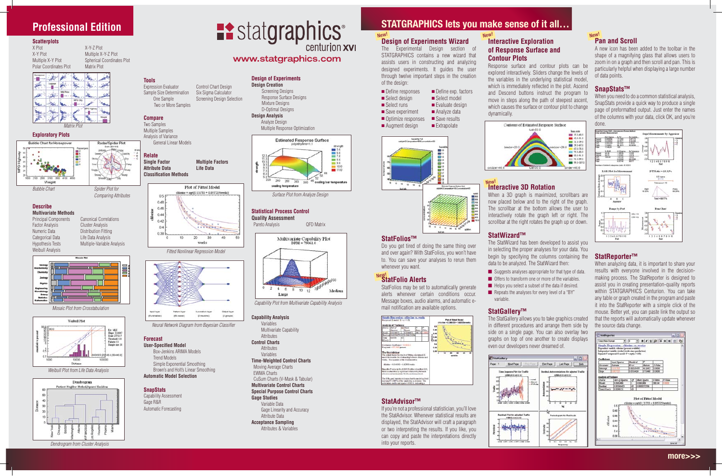## **Design of Experiments Design Creation**

Screening Designs Response Surface Designs Mixture Designs 



## D-Optimal Designs **Design Analysis**

 Analyze Design Multiple Response Optimization





## **Statistical Process Control**

**Quality Assessment**

Pareto Analysis **QFD Matrix** 



## **Capability Analysis**

## Variables

 Multivariate Capability **Attributes Control Charts** Attributes

Variables **Time-Weighted Control Charts**

 Moving Average Charts EWMA Charts

#### CuSum Charts (V-Mask & Tabular) **Multivariate Control Charts**

**Special Purpose Control Charts**

## **Gage Studies**



 Gage Linearity and Accuracy Attribute Data

**Acceptance Sampling**



## **STATGRAPHICS lets you make sense of it all...**

New!

New!

## **Professional Edition**

#### New! **Design of Experiments Wizard**

The Experimental Design section of STATGRAPHICS contains a new wizard that assists users in constructing and analyzing designed experiments. It guides the user through twelve important steps in the creation of the design:

- $\blacksquare$  Define responses  $\blacksquare$  Define exp. factors
- $\blacksquare$  Select design  $\blacksquare$  Select model
- Select runs Evaluate design<br>■ Save experiment Analyze data
- $\blacksquare$  Save experiment
- $\Box$  Optimize responses  $\Box$  Save results
- $\blacksquare$  Augment design  $\blacksquare$  Extrapolate





If you're not a professional statistician, you'll love the StatAdvisor. Whenever statistical results are displayed, the StatAdvisor will craft a paragraph or two interpreting the results. If you like, you can copy and paste the interpretations directly into your reports.





**BI** Stationary

Page 1

## New! **StatFolio Alerts**

## **StatFolios™**

Do you get tired of doing the same thing over and over again? With StatFolios, you won't have to. You can save your analyses to rerun them whenever you want.

StatFolios may be set to automatically generate alerts whenever certain conditions occur. Message boxes, audio alarms, and automatic email notification are available options.

| <b>Lushvit of Variance</b>                                                                                                                                                                                                                          |                                                                                                                                                                       |    |                                                     |         |               | UNicolaw = 0.369 053 + 1.8 |    |  |
|-----------------------------------------------------------------------------------------------------------------------------------------------------------------------------------------------------------------------------------------------------|-----------------------------------------------------------------------------------------------------------------------------------------------------------------------|----|-----------------------------------------------------|---------|---------------|----------------------------|----|--|
|                                                                                                                                                                                                                                                     | <b>Journe Lign of Litt Mage</b><br>Savenner<br>Model \$5,00544070 (: ISO344072)                                                                                       |    | <b>Fassary</b>                                      | 281,768 | <b>Pallus</b> | **                         |    |  |
| <b>SCorp</b> 1                                                                                                                                                                                                                                      | Resident Edd English (2) 6,000 21214<br>ing appe                                                                                                                      | īш |                                                     |         |               |                            |    |  |
| Cambrine Coeffisiant +1 111111<br>R-aquated - 87.1017 percent<br>The StatAdvisor<br>The cottour shows the results of fitting a deciprocal X<br>model to demander the infationality burneau chinese and<br>works. The equation of the fixed model is |                                                                                                                                                                       |    |                                                     |         |               |                            | 18 |  |
|                                                                                                                                                                                                                                                     | s&uv/E5020.1 v E0140E0 - saleská                                                                                                                                      |    |                                                     |         |               |                            |    |  |
|                                                                                                                                                                                                                                                     | Sings the Products the ANGVA toble in low than 8.05.<br>there is a matisfaulty significant relationship between<br>able sixt and works at the 90.0% confidence level. |    |                                                     |         |               |                            |    |  |
|                                                                                                                                                                                                                                                     | The R. Spower capitalist in System that the excited as fitted<br>excluing \$7.1500% of the variability in chlosing. The                                               |    | sumplation coofficient equals 3:33331, ledicating a |         |               |                            |    |  |

## **StatAdvisor™**

When you need to do a common statistical analysis, SnapStats provide a quick way to produce a single page of preformatted output. Just enter the names of the columns with your data, click OK, and you're done.



## **Interactive Exploration of Response Surface and Contour Plots**



Response surface and contour plots can be explored interactively. Sliders change the levels of the variables in the underlying statistical model, which is immediately reflected in the plot. Ascend and Descend buttons instruct the program to move in steps along the path of steepest ascent, which causes the surface or contour plot to change



dynamically.

## **Interactive 3D Rotation**

When a 3D graph is maximized, scrollbars are now placed below and to the right of the graph. The scrollbar at the bottom allows the user to interactively rotate the graph left or right. The scrollbar at the right rotates the graph up or down.

#### **Tools** Expression Evaluator Control Chart Design

Sample Size Determination Six Sigma Calculator One Sample Screening Design Selection

## **StatWizard™**

The StatWizard has been developed to assist you in selecting the proper analyses for your data. You begin by specifying the columns containing the data to be analyzed. The StatWizard then:

**n** Suggests analyses appropriate for that type of data.  $\blacksquare$  Offers to transform one or more of the variables.  $\blacksquare$  Helps you select a subset of the data if desired.

 $\blacksquare$  Repeats the analyses for every level of a "BY"

 variable.

## **StatGallery™**

The StatGallery allows you to take graphics created in different procedures and arrange them side by side on a single page. You can also overlay two graphs on top of one another to create displays even our developers never dreamed of.



A new icon has been added to the toolbar in the shape of a magnifying glass that allows users to zoom in on a graph and then scroll and pan. This is particularly helpful when displaying alarge number of data points.

## **SnapStats™**

## **StatReporter™**

When analyzing data, it is important to share your results with everyone involved in the decisionmaking process. The StatReporter is designed to assist you in creating presentation-quality reports within STATGRAPHICS Centurion. You can take anytable or graph created in the program and paste it into the StatReporter with a simple click of the mouse. Better yet, you can paste link the output so that the reports will automatically update whenever the source data change.



## **Scatterplots**

Polar Coordinates Plot **Matrix Plot** 

X-Y-Z Plot X-Y Plot<br>
Multiple X-Y Plot<br>
Spherical Coordina Spherical Coordinates Plot

Radar/Spider Plot

#### **Exploratory Plots**



*Bubble Chart Spider Plot for Comparing Attributes*

#### **Describe Multivariate Methods**

Principal Components Canonical Correlations Factor Analysis **Cluster Analysis** Numeric Data **Distribution Fitting** Categorical Data **Life Data Analysis** Hypothesis Tests Multiple-Variable Analysis Weibull Analysis



## **Forecast**

**User-Specified Model**

 Box-Jenkins ARIMA Models Trend Models Simple Exponential Smoothing Brown's and Holt's Linear Smoothing **Automatic Model Selection**

## **SnapStats**

Capability Assessment 

Gage R&R Automatic Forecasting





# **Example 12 Statgraphics**

## www.statgraphics.com

*Neural Network Diagram from Bayesian Classifier*

*Capability Plot from Multivariate Capability Analysis*

*Surface Plot from Analyze Design*

**more>>>**

Two or More Samples

## **Compare**

Two Samples Multiple Samples Analysis of Variance General Linear Models

# **Relate**





#### *Fitted Nonlinear Regression Model*



*Weibull Plot from Life Data Analysis*

*Mosaic Plot from Crosstabulation*